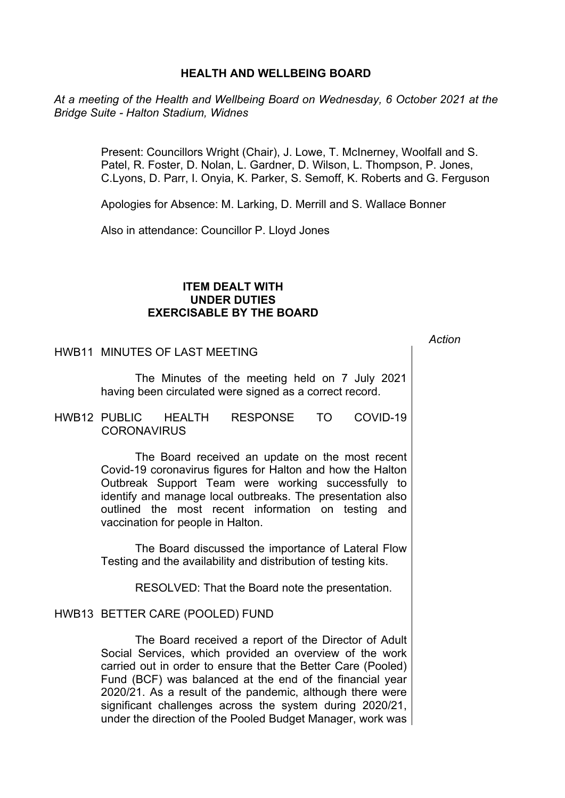## **HEALTH AND WELLBEING BOARD**

*At a meeting of the Health and Wellbeing Board on Wednesday, 6 October 2021 at the Bridge Suite - Halton Stadium, Widnes*

> Present: Councillors Wright (Chair), J. Lowe, T. McInerney, Woolfall and S. Patel, R. Foster, D. Nolan, L. Gardner, D. Wilson, L. Thompson, P. Jones, C.Lyons, D. Parr, I. Onyia, K. Parker, S. Semoff, K. Roberts and G. Ferguson

Apologies for Absence: M. Larking, D. Merrill and S. Wallace Bonner

Also in attendance: Councillor P. Lloyd Jones

# **ITEM DEALT WITH UNDER DUTIES EXERCISABLE BY THE BOARD**

*Action*

HWB11 MINUTES OF LAST MEETING

The Minutes of the meeting held on 7 July 2021 having been circulated were signed as a correct record.

HWB12 PUBLIC HEALTH RESPONSE TO COVID-19 **CORONAVIRUS** 

> The Board received an update on the most recent Covid-19 coronavirus figures for Halton and how the Halton Outbreak Support Team were working successfully to identify and manage local outbreaks. The presentation also outlined the most recent information on testing and vaccination for people in Halton.

> The Board discussed the importance of Lateral Flow Testing and the availability and distribution of testing kits.

> > RESOLVED: That the Board note the presentation.

#### HWB13 BETTER CARE (POOLED) FUND

The Board received a report of the Director of Adult Social Services, which provided an overview of the work carried out in order to ensure that the Better Care (Pooled) Fund (BCF) was balanced at the end of the financial year 2020/21. As a result of the pandemic, although there were significant challenges across the system during 2020/21, under the direction of the Pooled Budget Manager, work was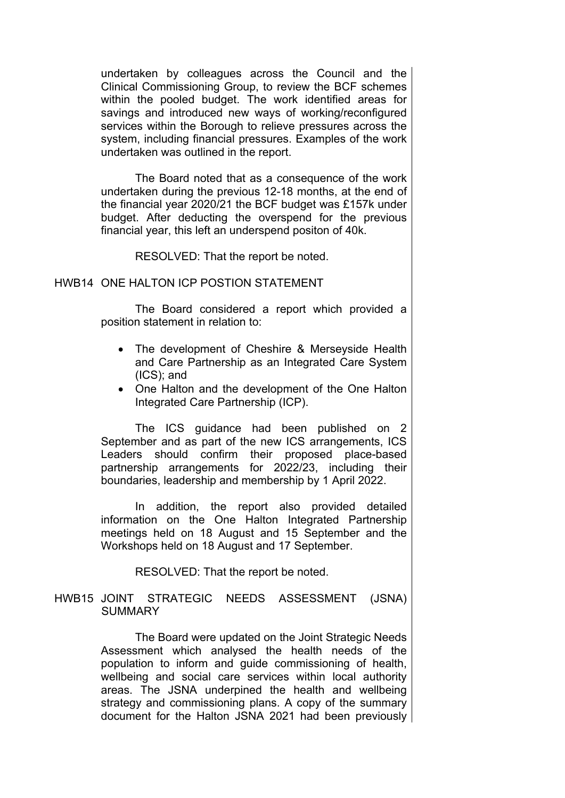undertaken by colleagues across the Council and the Clinical Commissioning Group, to review the BCF schemes within the pooled budget. The work identified areas for savings and introduced new ways of working/reconfigured services within the Borough to relieve pressures across the system, including financial pressures. Examples of the work undertaken was outlined in the report.

The Board noted that as a consequence of the work undertaken during the previous 12-18 months, at the end of the financial year 2020/21 the BCF budget was £157k under budget. After deducting the overspend for the previous financial year, this left an underspend positon of 40k.

RESOLVED: That the report be noted.

### HWB14 ONE HALTON ICP POSTION STATEMENT

The Board considered a report which provided a position statement in relation to:

- The development of Cheshire & Merseyside Health and Care Partnership as an Integrated Care System (ICS); and
- One Halton and the development of the One Halton Integrated Care Partnership (ICP).

The ICS guidance had been published on 2 September and as part of the new ICS arrangements, ICS Leaders should confirm their proposed place-based partnership arrangements for 2022/23, including their boundaries, leadership and membership by 1 April 2022.

In addition, the report also provided detailed information on the One Halton Integrated Partnership meetings held on 18 August and 15 September and the Workshops held on 18 August and 17 September.

RESOLVED: That the report be noted.

### HWB15 JOINT STRATEGIC NEEDS ASSESSMENT (JSNA) SUMMARY

The Board were updated on the Joint Strategic Needs Assessment which analysed the health needs of the population to inform and guide commissioning of health, wellbeing and social care services within local authority areas. The JSNA underpined the health and wellbeing strategy and commissioning plans. A copy of the summary document for the Halton JSNA 2021 had been previously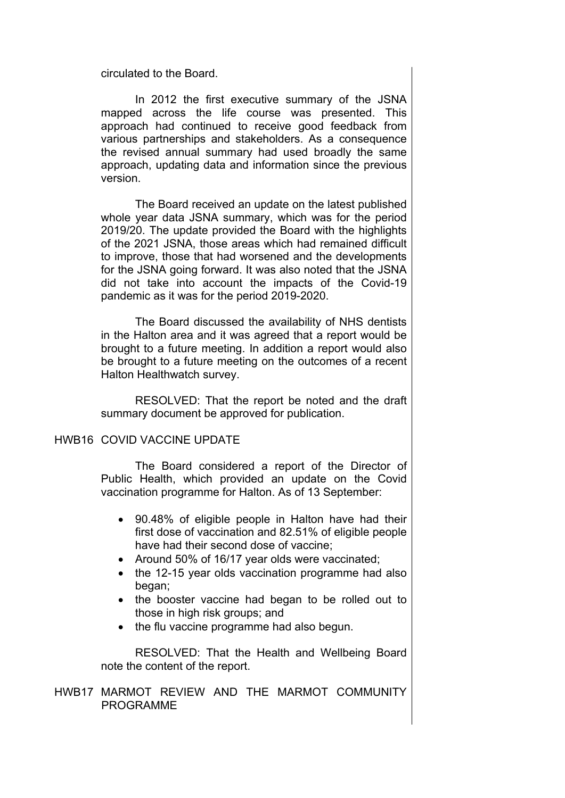circulated to the Board.

In 2012 the first executive summary of the JSNA mapped across the life course was presented. This approach had continued to receive good feedback from various partnerships and stakeholders. As a consequence the revised annual summary had used broadly the same approach, updating data and information since the previous version.

The Board received an update on the latest published whole year data JSNA summary, which was for the period 2019/20. The update provided the Board with the highlights of the 2021 JSNA, those areas which had remained difficult to improve, those that had worsened and the developments for the JSNA going forward. It was also noted that the JSNA did not take into account the impacts of the Covid-19 pandemic as it was for the period 2019-2020.

The Board discussed the availability of NHS dentists in the Halton area and it was agreed that a report would be brought to a future meeting. In addition a report would also be brought to a future meeting on the outcomes of a recent Halton Healthwatch survey.

RESOLVED: That the report be noted and the draft summary document be approved for publication.

### HWB16 COVID VACCINE UPDATE

The Board considered a report of the Director of Public Health, which provided an update on the Covid vaccination programme for Halton. As of 13 September:

- 90.48% of eligible people in Halton have had their first dose of vaccination and 82.51% of eligible people have had their second dose of vaccine;
- Around 50% of 16/17 year olds were vaccinated;
- the 12-15 year olds vaccination programme had also began;
- the booster vaccine had began to be rolled out to those in high risk groups; and
- the flu vaccine programme had also begun.

RESOLVED: That the Health and Wellbeing Board note the content of the report.

HWB17 MARMOT REVIEW AND THE MARMOT COMMUNITY PROGRAMME